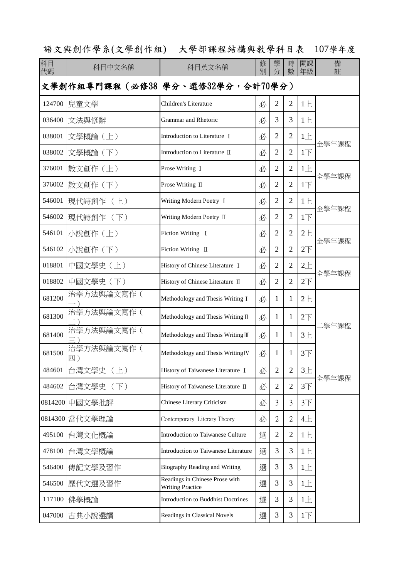## 語文與創作學系(文學創作組) 大學部課程結構與教學科目表 107學年度

| 科目<br>代碼                           | 科目中文名稱           | 科目英文名稱                                                    | 修<br>別 | 學<br>分         | 時<br>數         | 開課<br>年級        | 備<br>註 |
|------------------------------------|------------------|-----------------------------------------------------------|--------|----------------|----------------|-----------------|--------|
| 文學創作組專門課程 (必修38 學分、選修32學分, 合計70學分) |                  |                                                           |        |                |                |                 |        |
| 124700                             | 兒童文學             | Children's Literature                                     | 必      | $\overline{2}$ | $\overline{2}$ | 1E              |        |
|                                    | 036400 文法與修辭     | Grammar and Rhetoric                                      | 必      | 3              | 3              | 1E              |        |
| 038001                             | 文學概論 (上)         | Introduction to Literature I                              | 必      | $\overline{2}$ | $\overline{2}$ | 1E              |        |
| 038002                             | 文學概論 (下)         | Introduction to Literature II                             | 必      | $\overline{2}$ | $\overline{2}$ | 1 <sub>l</sub>  | 全學年課程  |
| 376001                             | 散文創作(上)          | Prose Writing I                                           | 必      | $\overline{2}$ | $\overline{2}$ | 1E              |        |
| 376002                             | 散文創作 (下)         | Prose Writing II                                          | 必      | $\overline{2}$ | $\overline{2}$ | 1 <sub>l</sub>  | 全學年課程  |
| 546001                             | 現代詩創作 (上)        | Writing Modern Poetry I                                   | 必      | $\overline{2}$ | $\overline{2}$ | $1+$            |        |
| 546002                             | 現代詩創作 (下)        | Writing Modern Poetry II                                  | 必      | $\overline{2}$ | $\overline{2}$ | 1 <sub>l</sub>  | 全學年課程  |
| 546101                             | 小說創作 (上)         | Fiction Writing I                                         | 必      | $\mathbf{2}$   | $\overline{2}$ | $2+$            |        |
| 546102                             | 小說創作 (下)         | Fiction Writing II                                        | 必      | $\overline{2}$ | $\overline{2}$ | 2 <sup>7</sup>  | 全學年課程  |
| 018801                             | 中國文學史 (上)        | History of Chinese Literature I                           | 必      | $\overline{2}$ | $\overline{2}$ | $2+$            |        |
| 018802                             | 中國文學史 (下)        | History of Chinese Literature II                          | 必      | $\overline{2}$ | $\overline{2}$ | $2\overline{1}$ | 全學年課程  |
| 681200                             | 治學方法與論文寫作(       | Methodology and Thesis Writing I                          | 必      | 1              | $\mathbf{1}$   | $2+$            |        |
| 681300                             | 治學方法與論文寫作(       | Methodology and Thesis Writing II                         | 必      | 1              | $\mathbf{1}$   | $2\top$         |        |
| 681400                             | 治學方法與論文寫作(<br>Ξ, | Methodology and Thesis Writing III                        | 必      | 1              | 1              | $3+$            | 二學年課程  |
| 681500                             | 治學方法與論文寫作(<br>四) | Methodology and Thesis Writing <sub>IV</sub>              | 必      | 1              | 1              | 3 <sup>T</sup>  |        |
| 484601                             | 台灣文學史 (上)        | History of Taiwanese Literature I                         | 必      | $\overline{2}$ | $\overline{2}$ | $3+$            | 全學年課程  |
| 484602                             | 台灣文學史 (下)        | History of Taiwanese Literature II                        | 必      | $\mathfrak{2}$ | $\overline{2}$ | 3 <sup>7</sup>  |        |
|                                    | 0814200 中國文學批評   | Chinese Literary Criticism                                | 必      | 3              | 3              | 3 <sup>7</sup>  |        |
| 0814300                            | 當代文學理論           | Contemporary Literary Theory                              | 必      | $\mathbf{2}$   | 2              | 4E              |        |
| 495100                             | 台灣文化概論           | Introduction to Taiwanese Culture                         | 選      | $\mathfrak{2}$ | $\overline{2}$ | 1E              |        |
| 478100                             | 台灣文學概論           | Introduction to Taiwanese Literature                      | 選      | 3              | 3              | 1E              |        |
| 546400                             | 傳記文學及習作          | Biography Reading and Writing                             | 選      | 3              | 3              | 1E              |        |
| 546500                             | 歷代文選及習作          | Readings in Chinese Prose with<br><b>Writing Practice</b> | 選      | 3              | 3              | 1E              |        |
| 117100                             | 佛學概論             | <b>Introduction to Buddhist Doctrines</b>                 | 選      | 3              | 3              | $1 \pm$         |        |
|                                    | 047000 古典小說選讀    | Readings in Classical Novels                              | 選      | 3              | 3              | $1\overline{F}$ |        |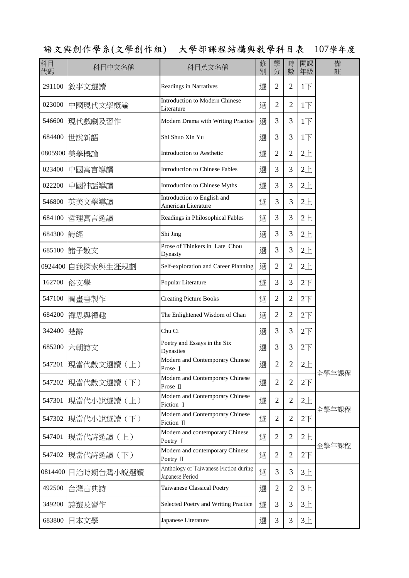語文與創作學系(文學創作組) 大學部課程結構與教學科目表 107學年度

| 科目<br>代碼 | 科目中文名稱              | 科目英文名稱                                                   | 修<br>別 | 學<br>分         | 時<br>數         | 開課<br>年級        | 備<br>註 |
|----------|---------------------|----------------------------------------------------------|--------|----------------|----------------|-----------------|--------|
| 291100   | 敘事文選讀               | Readings in Narratives                                   | 選      | $\overline{2}$ | $\overline{2}$ | $1\overline{1}$ |        |
| 023000   | 中國現代文學概論            | <b>Introduction to Modern Chinese</b><br>Literature      | 選      | $\overline{2}$ | $\overline{2}$ | 1 <sub>l</sub>  |        |
| 546600   | 現代戲劇及習作             | Modern Drama with Writing Practice                       | 選      | 3              | 3              | 1 <sub>l</sub>  |        |
| 684400   | 世說新語                | Shi Shuo Xin Yu                                          | 選      | 3              | 3              | 1 <sub>l</sub>  |        |
|          | 0805900 美學概論        | Introduction to Aesthetic                                | 選      | $\overline{2}$ | $\overline{2}$ | $2+$            |        |
| 023400   | 中國寓言導讀              | <b>Introduction to Chinese Fables</b>                    | 選      | 3              | 3              | $2+$            |        |
| 022200   | 中國神話導讀              | Introduction to Chinese Myths                            | 選      | 3              | 3              | $2+$            |        |
| 546800   | 英美文學導讀              | Introduction to English and<br>American Literature       | 選      | 3              | 3              | $2+$            |        |
| 684100   | 哲理寓言選讀              | Readings in Philosophical Fables                         | 選      | 3              | 3              | $2+$            |        |
| 684300   | 詩經                  | Shi Jing                                                 | 選      | 3              | 3              | $2+$            |        |
| 685100   | 諸子散文                | Prose of Thinkers in Late Chou<br>Dynasty                | 選      | 3              | 3              | $2+$            |        |
| 0924400  | 自我探索與生涯規劃           | Self-exploration and Career Planning                     | 選      | $\overline{2}$ | $\overline{2}$ | $2+$            |        |
| 162700   | 俗文學                 | Popular Literature                                       | 選      | 3              | 3              | $2\top$         |        |
| 547100   | 圖畫書製作               | <b>Creating Picture Books</b>                            | 選      | $\overline{2}$ | $\overline{2}$ | $2\overline{1}$ |        |
| 684200   | 禪思與禪趣               | The Enlightened Wisdom of Chan                           | 選      | $\overline{c}$ | $\overline{2}$ | $2\overline{1}$ |        |
| 342400   | 楚辭                  | Chu Ci                                                   | 選      | 3              | 3              | $2\overline{1}$ |        |
| 685200   | 六朝詩文                | Poetry and Essays in the Six<br><b>Dynasties</b>         | 選      | 3              | 3              | $2\overline{1}$ |        |
|          | 547201  現當代散文選讀 (上) | Modern and Contemporary Chinese<br>Prose I               | 選      | $\overline{c}$ | $\overline{2}$ | $2+$            |        |
| 547202   | 現當代散文選讀 (下)         | Modern and Contemporary Chinese<br>Prose II              | 選      | $\overline{2}$ | $\overline{2}$ | $2\top$         | 全學年課程  |
| 547301   | 現當代小說選讀 (上)         | Modern and Contemporary Chinese<br>Fiction I             | 選      | $\overline{2}$ | $\overline{2}$ | $2 +$           |        |
| 547302   | 現當代小說選讀 (下)         | Modern and Contemporary Chinese<br>Fiction II            | 選      | $\overline{2}$ | $\overline{2}$ | $2\top$         | 全學年課程  |
| 547401   | 現當代詩選讀(上)           | Modern and contemporary Chinese<br>Poetry I              | 選      | $\mathfrak{2}$ | $\overline{2}$ | $2+$            |        |
| 547402   | 現當代詩選讀 (下)          | Modern and contemporary Chinese<br>Poetry II             | 選      | $\overline{2}$ | $\overline{2}$ | $2\overline{1}$ | 全學年課程  |
| 0814400  | 日治時期台灣小說選讀          | Anthology of Taiwanese Fiction during<br>Japanese Period | 撰      | 3              | 3              | $3+$            |        |
| 492500   | 台灣古典詩               | Taiwanese Classical Poetry                               | 選      | $\overline{2}$ | $\overline{2}$ | $3+$            |        |
| 349200   | 詩選及習作               | Selected Poetry and Writing Practice                     | 選      | 3              | 3              | $3+$            |        |
| 683800   | 日本文學                | Japanese Literature                                      | 選      | 3              | 3              | $3+$            |        |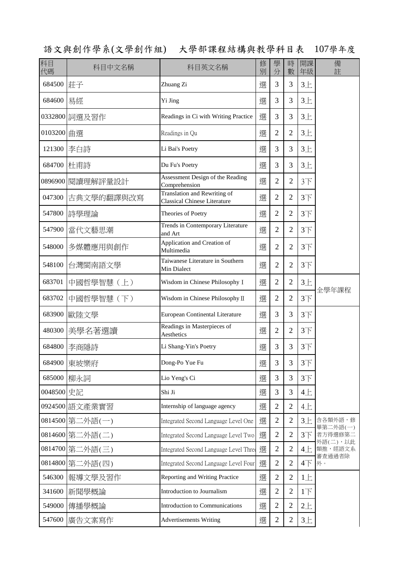語文與創作學系(文學創作組) 大學部課程結構與教學科目表 107學年度

| 科目<br>代碼   | 科目中文名稱           | 科目英文名稱                                                              | 修<br>別 | 學<br>分         | 時<br>數         | 開課<br>年級        | 備<br>註                          |
|------------|------------------|---------------------------------------------------------------------|--------|----------------|----------------|-----------------|---------------------------------|
| 684500     | 莊子               | Zhuang Zi                                                           | 撰      | 3              | 3              | $3+$            |                                 |
| 684600     | 易經               | Yi Jing                                                             | 選      | 3              | 3              | $3+$            |                                 |
|            | 0332800 詞選及習作    | Readings in Ci with Writing Practice                                | 選      | 3              | 3              | $3+$            |                                 |
| 0103200 曲選 |                  | Readings in Qu                                                      | 選      | $\overline{2}$ | $\overline{2}$ | $3+$            |                                 |
| 121300     | 李白詩              | Li Bai's Poetry                                                     | 選      | 3              | 3              | $3+$            |                                 |
| 684700     | 杜甫詩              | Du Fu's Poetry                                                      | 選      | 3              | 3              | $3+$            |                                 |
|            | 0896900 閱讀理解評量設計 | Assessment Design of the Reading<br>Comprehension                   | 選      | $\overline{2}$ | $\overline{2}$ | 3 <sup>T</sup>  |                                 |
| 047300     | 古典文學的翻譯與改寫       | Translation and Rewriting of<br><b>Classical Chinese Literature</b> | 選      | $\overline{2}$ | $\overline{2}$ | 3 <sup>T</sup>  |                                 |
| 547800     | 詩學理論             | Theories of Poetry                                                  | 選      | $\overline{2}$ | 2              | $3+$            |                                 |
| 547900     | 當代文藝思潮           | <b>Trends in Contemporary Literature</b><br>and Art                 | 選      | $\overline{2}$ | $\overline{2}$ | $3+$            |                                 |
| 548000     | 多媒體應用與創作         | Application and Creation of<br>Multimedia                           | 選      | $\overline{2}$ | $\overline{2}$ | 3 <sup>7</sup>  |                                 |
| 548100     | 台灣閩南語文學          | Taiwanese Literature in Southern<br>Min Dialect                     | 選      | $\overline{2}$ | $\overline{2}$ | $3+$            |                                 |
| 683701     | 中國哲學智慧 (上)       | Wisdom in Chinese Philosophy I                                      | 選      | $\overline{2}$ | $\overline{2}$ | $3+$            |                                 |
| 683702     | 中國哲學智慧 (下)       | Wisdom in Chinese Philosophy II                                     | 選      | $\overline{2}$ | $\overline{2}$ | 3 <sup>T</sup>  | 全學年課程                           |
| 683900     | 歐陸文學             | <b>European Continental Literature</b>                              | 選      | 3              | 3              | $3+$            |                                 |
| 480300     | 美學名著選讀           | Readings in Masterpieces of<br>Aesthetics                           | 選      | $\overline{2}$ | $\overline{2}$ | 3 <sup>T</sup>  |                                 |
| 684800     | 李商隱詩             | Li Shang-Yin's Poetry                                               | 選      | 3              | 3              | 3 <sup>T</sup>  |                                 |
|            | 684900 東坡樂府      | Dong-Po Yue Fu                                                      | 選      | 3              | 3              | $3+$            |                                 |
| 685000     | 柳永詞              | Lio Yeng's Ci                                                       | 選      | 3              | 3              | $3+$            |                                 |
| 0048500 史記 |                  | Shi Ji                                                              | 選      | 3              | 3              | 4E              |                                 |
|            | 0924500 語文產業實習   | Internship of language agency                                       | 選      | $\overline{2}$ | $\overline{2}$ | 4E              |                                 |
|            | 0814500 第二外語(一)  | Integrated Second Language Level One                                | 選      | $\overline{2}$ | $\overline{2}$ | $3+$            | 含各類外語,修                         |
|            | 0814600 第二外語(二)  | Integrated Second Language Level Two                                | 選      | $\overline{2}$ | $\overline{2}$ | 3 <sup>T</sup>  | 畢第二外語(一)<br>者方得選修第二<br>外語(二),以此 |
|            | 0814700 第二外語(三)  | Integrated Second Language Level Three                              | 選      | $\overline{2}$ | $\overline{2}$ | $4 \pm$         | 類推,經語文系                         |
| 0814800    | 第二外語(四)          | Integrated Second Language Level Four                               | 選      | $\overline{2}$ | $\overline{2}$ | $4\top$         | 審查通過者除<br>外。                    |
| 546300     | 報導文學及習作          | Reporting and Writing Practice                                      | 選      | $\overline{2}$ | $\overline{2}$ | 1E              |                                 |
| 341600     | 新聞學概論            | Introduction to Journalism                                          | 選      | $\overline{2}$ | $\overline{2}$ | $1\overline{1}$ |                                 |
| 549000     | 傳播學概論            | Introduction to Communications                                      | 選      | $\overline{2}$ | $\overline{2}$ | $2 +$           |                                 |
| 547600     | 廣告文案寫作           | <b>Advertisements Writing</b>                                       | 選      | $\sqrt{2}$     | $\mathbf{2}$   | $3+$            |                                 |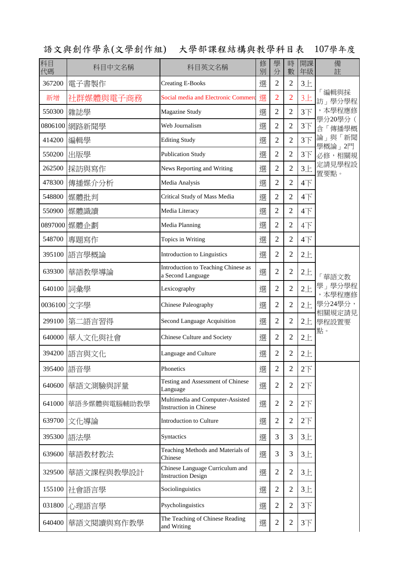語文與創作學系(文學創作組) 大學部課程結構與教學科目表 107學年度

| 科目<br>代碼    | 科目中文名稱       | 科目英文名稱                                                            | 修<br>別 | 學<br>分         | 時<br>數         | 開課<br>年級        | 備<br>註            |
|-------------|--------------|-------------------------------------------------------------------|--------|----------------|----------------|-----------------|-------------------|
| 367200      | 電子書製作        | <b>Creating E-Books</b>                                           | 選      | $\overline{2}$ | $\overline{2}$ | $3+$            |                   |
| 新增          | 社群媒體與電子商務    | Social media and Electronic Commerc                               | 選      | $\overline{2}$ | $\overline{2}$ | $3+$            | 「編輯與採<br>訪」學分學程   |
| 550300      | 雜誌學          | Magazine Study                                                    | 選      | 2              | $\overline{2}$ | $3+$            | ,本學程應修            |
| 0806100     | 網路新聞學        | Web Journalism                                                    | 選      | $\overline{2}$ | $\overline{2}$ | 3 <sup>T</sup>  | 學分20學分(<br>含「傳播學概 |
| 414200      | 編輯學          | <b>Editing Study</b>                                              | 選      | $\overline{2}$ | $\overline{2}$ | $3+$            | 論」與「新聞<br>學概論」2門  |
| 550200      | 出版學          | <b>Publication Study</b>                                          | 選      | $\overline{c}$ | $\overline{2}$ | 3 <sup>T</sup>  | 必修,相關規            |
| 262500      | 採訪與寫作        | News Reporting and Writing                                        | 選      | $\overline{2}$ | $\overline{2}$ | $3+$            | 定請見學程設<br>置要點。    |
| 478300      | 傳播媒介分析       | Media Analysis                                                    | 選      | $\overline{2}$ | $\overline{2}$ | $4\overline{1}$ |                   |
| 548800      | 媒體批判         | Critical Study of Mass Media                                      | 選      | $\overline{2}$ | $\overline{2}$ | $4+$            |                   |
| 550900      | 媒體識讀         | Media Literacy                                                    | 選      | $\overline{c}$ | $\overline{2}$ | $4\overline{ }$ |                   |
| 0897000     | 煤體企劃         | Media Planning                                                    | 選      | $\overline{2}$ | $\overline{2}$ | 4下              |                   |
| 548700      | 專題寫作         | Topics in Writing                                                 | 選      | $\overline{2}$ | $\overline{2}$ | $4+$            |                   |
| 395100      | 語言學概論        | Introduction to Linguistics                                       | 選      | $\overline{2}$ | $\overline{2}$ | $2+$            |                   |
| 639300      | 華語教學導論       | Introduction to Teaching Chinese as<br>a Second Language          | 選      | $\overline{2}$ | $\overline{2}$ | $2+$            | 華語文教              |
| 640100      | 詞彙學          | Lexicography                                                      | 選      | $\overline{2}$ | $\overline{2}$ | $2+$            | 學」學分學程<br>,本學程應修  |
| 0036100 文字學 |              | Chinese Paleography                                               | 選      | $\overline{2}$ | $\overline{2}$ | $2+$            | 學分24學分,<br>相關規定請見 |
| 299100      | 第二語言習得       | Second Language Acquisition                                       | 選      | $\overline{2}$ | $\overline{2}$ | $2+$            | 學程設置要             |
| 640000      | 華人文化與社會      | Chinese Culture and Society                                       | 選      | $\overline{2}$ | $\overline{2}$ | $2+$            | 點。                |
| 394200      | 語言與文化        | Language and Culture                                              | 選      | $\overline{2}$ | $\overline{2}$ | $2+$            |                   |
| 395400      | 語音學          | Phonetics                                                         | 選      | $\overline{2}$ | $\overline{2}$ | 2 <sup>T</sup>  |                   |
| 640600      | 華語文測驗與評量     | Testing and Assessment of Chinese<br>Language                     | 選      | $\overline{2}$ | $\overline{2}$ | $2\top$         |                   |
| 641000      | 華語多媒體與電腦輔助教學 | Multimedia and Computer-Assisted<br><b>Instruction in Chinese</b> | 選      | $\overline{2}$ | $\overline{2}$ | $2\top$         |                   |
| 639700      | 文化導論         | <b>Introduction to Culture</b>                                    | 選      | $\overline{2}$ | $\overline{2}$ | $2\top$         |                   |
| 395300      | 語法學          | Syntactics                                                        | 選      | 3              | 3              | $3+$            |                   |
| 639600      | 華語教材教法       | Teaching Methods and Materials of<br>Chinese                      | 選      | 3              | 3              | $3+$            |                   |
| 329500      | 華語文課程與教學設計   | Chinese Language Curriculum and<br><b>Instruction Design</b>      | 選      | $\overline{2}$ | $\overline{2}$ | $3+$            |                   |
| 155100      | 社會語言學        | Sociolinguistics                                                  | 選      | $\overline{2}$ | $\overline{2}$ | $3+$            |                   |
| 031800      | 心理語言學        | Psycholinguistics                                                 | 選      | $\overline{2}$ | $\overline{2}$ | $3+$            |                   |
| 640400      | 華語文閱讀與寫作教學   | The Teaching of Chinese Reading<br>and Writing                    | 選      | $\mathfrak{2}$ | $\overline{2}$ | 3 <sup>T</sup>  |                   |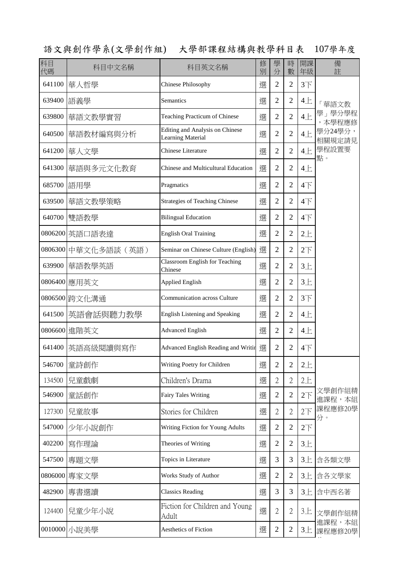語文與創作學系(文學創作組) 大學部課程結構與教學科目表 107學年度

| 科目<br>代碼 | 科目中文名稱              | 科目英文名稱                                                             | 修<br>別 | 學<br>分         | 時<br>數         | 開課<br>年級                  | 備<br>註            |
|----------|---------------------|--------------------------------------------------------------------|--------|----------------|----------------|---------------------------|-------------------|
| 641100   | 華人哲學                | Chinese Philosophy                                                 | 選      | $\overline{2}$ | $\overline{2}$ | 3 <sup>7</sup>            |                   |
| 639400   | 語義學                 | Semantics                                                          | 選      | $\mathfrak{2}$ | $\overline{2}$ | 4E                        | 「華語文教             |
| 639800   | 華語文教學實習             | Teaching Practicum of Chinese                                      | 選      | $\overline{2}$ | $\overline{2}$ | 4E                        | 學」學分學程<br>本學程應修   |
| 640500   | 華語教材編寫與分析           | <b>Editing and Analysis on Chinese</b><br><b>Learning Material</b> | 選      | $\overline{2}$ | $\overline{2}$ | $4+$                      | 學分24學分,<br>相關規定請見 |
| 641200   | 華人文學                | <b>Chinese Literature</b>                                          | 選      | 2              | $\overline{2}$ | $4+$                      | 學程設置要             |
| 641300   | 華語與多元文化教育           | Chinese and Multicultural Education                                | 選      | $\mathfrak{2}$ | $\overline{2}$ | 4E                        | 點。                |
| 685700   | 語用學                 | Pragmatics                                                         | 選      | $\overline{2}$ | $\overline{2}$ | $4\top$                   |                   |
| 639500   | 華語文教學策略             | <b>Strategies of Teaching Chinese</b>                              | 選      | $\overline{2}$ | $\overline{2}$ | $4\overline{\smash{)}\,}$ |                   |
| 640700   | 雙語教學                | <b>Bilingual Education</b>                                         | 選      | 2              | $\overline{2}$ | $4+$                      |                   |
|          | 0806200 英語口語表達      | <b>English Oral Training</b>                                       | 選      | 2              | $\overline{2}$ | $2+$                      |                   |
|          | 0806300 中華文化多語談(英語) | Seminar on Chinese Culture (English)                               | 選      | $\overline{2}$ | $\overline{2}$ | $2\top$                   |                   |
| 639900   | 華語教學英語              | <b>Classroom English for Teaching</b><br>Chinese                   | 選      | $\overline{2}$ | $\overline{2}$ | $3+$                      |                   |
| 0806400  | 應用英文                | <b>Applied English</b>                                             | 選      | $\overline{2}$ | $\overline{2}$ | $3+$                      |                   |
| 0806500  | 跨文化溝通               | Communication across Culture                                       | 選      | $\mathfrak{2}$ | $\overline{2}$ | 3 <sup>T</sup>            |                   |
| 641500   | 英語會話與聽力教學           | English Listening and Speaking                                     | 選      | 2              | $\overline{2}$ | 4E                        |                   |
| 0806600  | 進階英文                | <b>Advanced English</b>                                            | 選      | 2              | $\overline{2}$ | 4E                        |                   |
| 641400   | 英語高級閱讀與寫作           | Advanced English Reading and Writir                                | 選      | $\overline{2}$ | $\overline{2}$ | $4+$                      |                   |
|          | 546700 童詩創作         | Writing Poetry for Children                                        | 選      | $\overline{c}$ | $\overline{c}$ | $2+$                      |                   |
| 134500   | 兒童戲劇                | Children's Drama                                                   | 選      | $\overline{2}$ | $\mathfrak{2}$ | 2E                        |                   |
| 546900   | 童話創作                | <b>Fairy Tales Writing</b>                                         | 選      | $\overline{2}$ | $\overline{2}$ | $2\overline{1}$           | 文學創作組精<br>進課程,本組  |
| 127300   | 兒童故事                | Stories for Children                                               | 選      | $\overline{2}$ | $\overline{2}$ | 2 <sup>T</sup>            | 課程應修20學<br>分。     |
| 547000   | 少年小說創作              | Writing Fiction for Young Adults                                   | 選      | $\overline{2}$ | $\overline{2}$ | $2\overline{F}$           |                   |
| 402200   | 寫作理論                | Theories of Writing                                                | 選      | $\overline{2}$ | $\overline{2}$ | $3+$                      |                   |
| 547500   | 專題文學                | Topics in Literature                                               | 選      | 3              | 3              | $3+$                      | 含各類文學             |
| 0806000  | 專家文學                | Works Study of Author                                              | 選      | $\overline{2}$ | $\overline{2}$ | $3+$                      | 含各文學家             |
| 482900   | 專書選讀                | <b>Classics Reading</b>                                            | 選      | 3              | 3              | $3+$                      | 含中西名著             |
| 124400   | 兒童少年小說              | Fiction for Children and Young<br>Adult                            | 選      | $\overline{2}$ | $\mathfrak{2}$ | $3+$                      | 文學創作組精            |
|          | 0010000 小說美學        | Aesthetics of Fiction                                              | 選      | $\mathbf{2}$   | $\mathbf{2}$   | $3+$                      | 進課程,本組<br>課程應修20學 |

分。